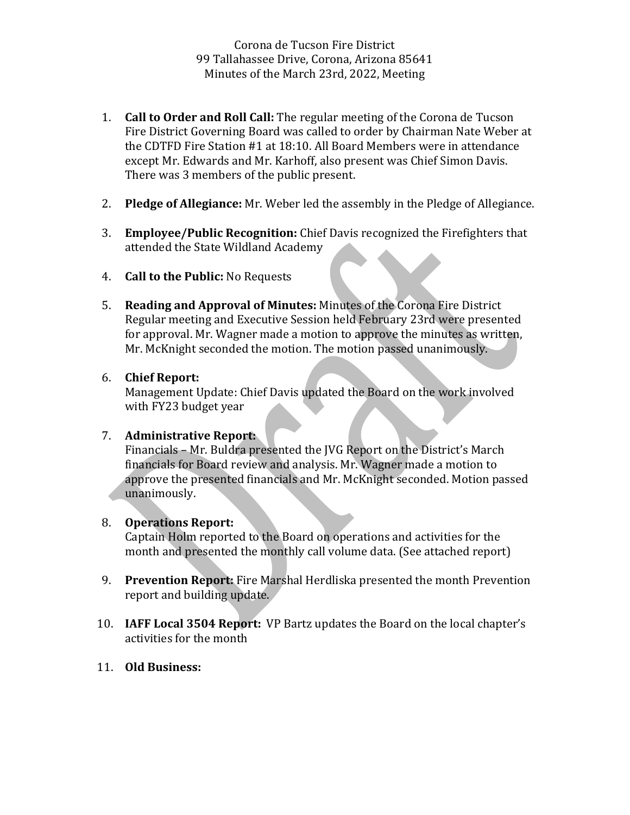Corona de Tucson Fire District 99 Tallahassee Drive, Corona, Arizona 85641 Minutes of the March 23rd, 2022, Meeting

- **1. Call to Order and Roll Call:** The regular meeting of the Corona de Tucson Fire District Governing Board was called to order by Chairman Nate Weber at the CDTFD Fire Station  $#1$  at 18:10. All Board Members were in attendance except Mr. Edwards and Mr. Karhoff, also present was Chief Simon Davis. There was 3 members of the public present.
- 2. **Pledge of Allegiance:** Mr. Weber led the assembly in the Pledge of Allegiance.
- 3. **Employee/Public Recognition:** Chief Davis recognized the Firefighters that attended the State Wildland Academy
- 4. **Call to the Public:** No Requests
- 5. **Reading and Approval of Minutes:** Minutes of the Corona Fire District Regular meeting and Executive Session held February 23rd were presented for approval. Mr. Wagner made a motion to approve the minutes as written, Mr. McKnight seconded the motion. The motion passed unanimously.

## 6. **Chief Report:**

Management Update: Chief Davis updated the Board on the work involved with FY23 budget year

## 7. **Administrative Report:**

Financials – Mr. Buldra presented the IVG Report on the District's March financials for Board review and analysis. Mr. Wagner made a motion to approve the presented financials and Mr. McKnight seconded. Motion passed unanimously. 

## 8. **Operations Report:**

Captain Holm reported to the Board on operations and activities for the month and presented the monthly call volume data. (See attached report)

- 9. **Prevention Report:** Fire Marshal Herdliska presented the month Prevention report and building update.
- 10. **IAFF Local 3504 Report:** VP Bartz updates the Board on the local chapter's activities for the month
- 11. **Old Business:**